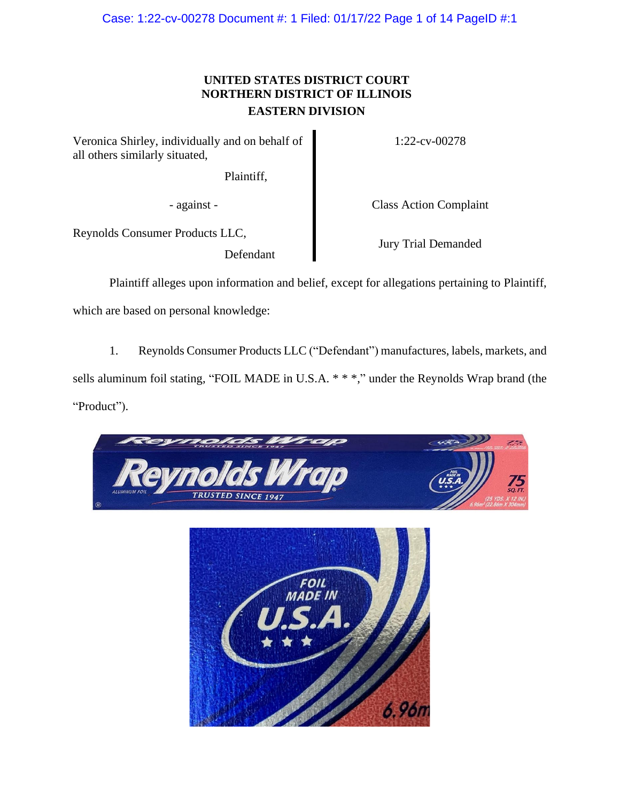Case: 1:22-cv-00278 Document #: 1 Filed: 01/17/22 Page 1 of 14 PageID #:1

# **UNITED STATES DISTRICT COURT NORTHERN DISTRICT OF ILLINOIS EASTERN DIVISION**

Veronica Shirley, individually and on behalf of all others similarly situated,

Plaintiff,

1:22-cv-00278

- against - Class Action Complaint

Reynolds Consumer Products LLC,

Defendant

Jury Trial Demanded

Plaintiff alleges upon information and belief, except for allegations pertaining to Plaintiff,

which are based on personal knowledge:

1. Reynolds Consumer Products LLC ("Defendant") manufactures, labels, markets, and sells aluminum foil stating, "FOIL MADE in U.S.A. \* \* \*," under the Reynolds Wrap brand (the "Product").

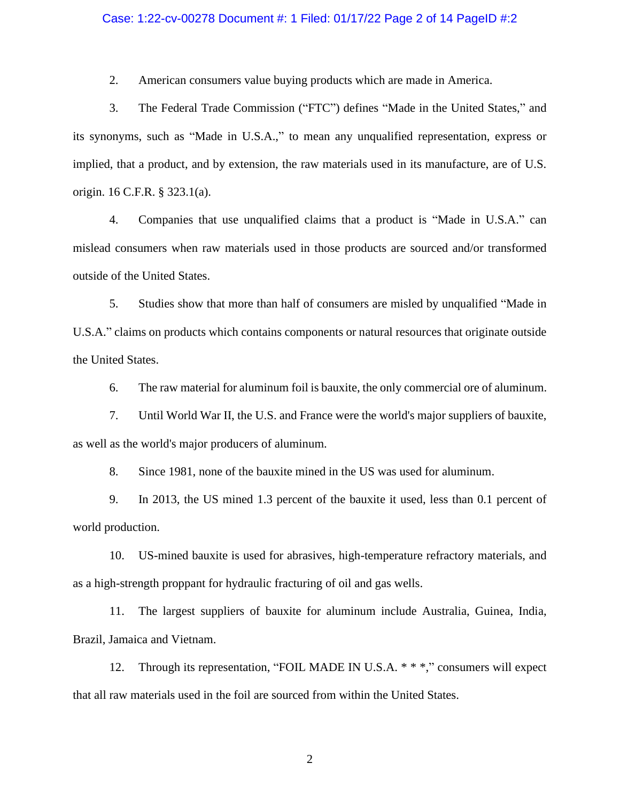#### Case: 1:22-cv-00278 Document #: 1 Filed: 01/17/22 Page 2 of 14 PageID #:2

2. American consumers value buying products which are made in America.

3. The Federal Trade Commission ("FTC") defines "Made in the United States," and its synonyms, such as "Made in U.S.A.," to mean any unqualified representation, express or implied, that a product, and by extension, the raw materials used in its manufacture, are of U.S. origin. 16 C.F.R. § 323.1(a).

4. Companies that use unqualified claims that a product is "Made in U.S.A." can mislead consumers when raw materials used in those products are sourced and/or transformed outside of the United States.

5. Studies show that more than half of consumers are misled by unqualified "Made in U.S.A." claims on products which contains components or natural resources that originate outside the United States.

6. The raw material for aluminum foil is bauxite, the only commercial ore of aluminum.

7. Until World War II, the U.S. and France were the world's major suppliers of bauxite, as well as the world's major producers of aluminum.

8. Since 1981, none of the bauxite mined in the US was used for aluminum.

9. In 2013, the US mined 1.3 percent of the bauxite it used, less than 0.1 percent of world production.

10. US-mined bauxite is used for abrasives, high-temperature refractory materials, and as a high-strength proppant for hydraulic fracturing of oil and gas wells.

11. The largest suppliers of bauxite for aluminum include Australia, Guinea, India, Brazil, Jamaica and Vietnam.

12. Through its representation, "FOIL MADE IN U.S.A. \* \* \*," consumers will expect that all raw materials used in the foil are sourced from within the United States.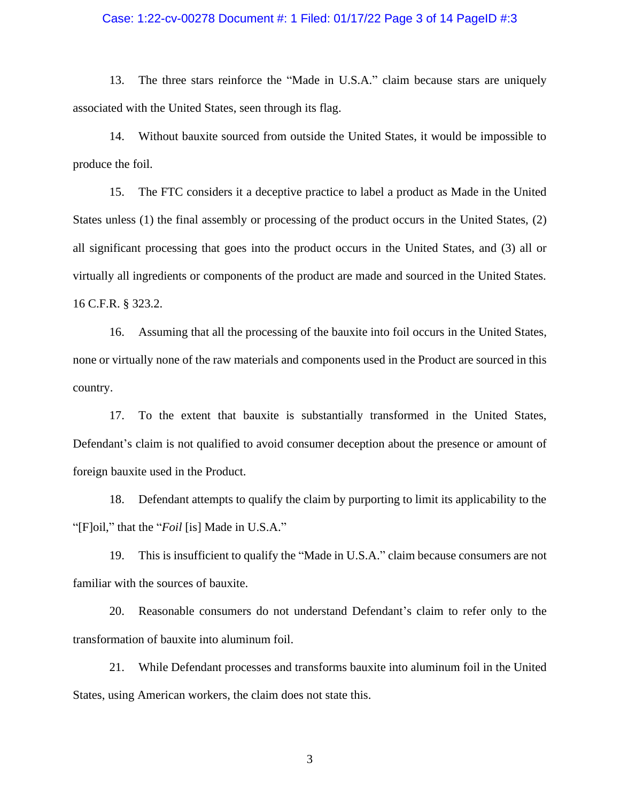#### Case: 1:22-cv-00278 Document #: 1 Filed: 01/17/22 Page 3 of 14 PageID #:3

13. The three stars reinforce the "Made in U.S.A." claim because stars are uniquely associated with the United States, seen through its flag.

14. Without bauxite sourced from outside the United States, it would be impossible to produce the foil.

15. The FTC considers it a deceptive practice to label a product as Made in the United States unless (1) the final assembly or processing of the product occurs in the United States, (2) all significant processing that goes into the product occurs in the United States, and (3) all or virtually all ingredients or components of the product are made and sourced in the United States. 16 C.F.R. § 323.2.

16. Assuming that all the processing of the bauxite into foil occurs in the United States, none or virtually none of the raw materials and components used in the Product are sourced in this country.

17. To the extent that bauxite is substantially transformed in the United States, Defendant's claim is not qualified to avoid consumer deception about the presence or amount of foreign bauxite used in the Product.

18. Defendant attempts to qualify the claim by purporting to limit its applicability to the "[F]oil," that the "*Foil* [is] Made in U.S.A."

19. This is insufficient to qualify the "Made in U.S.A." claim because consumers are not familiar with the sources of bauxite.

20. Reasonable consumers do not understand Defendant's claim to refer only to the transformation of bauxite into aluminum foil.

21. While Defendant processes and transforms bauxite into aluminum foil in the United States, using American workers, the claim does not state this.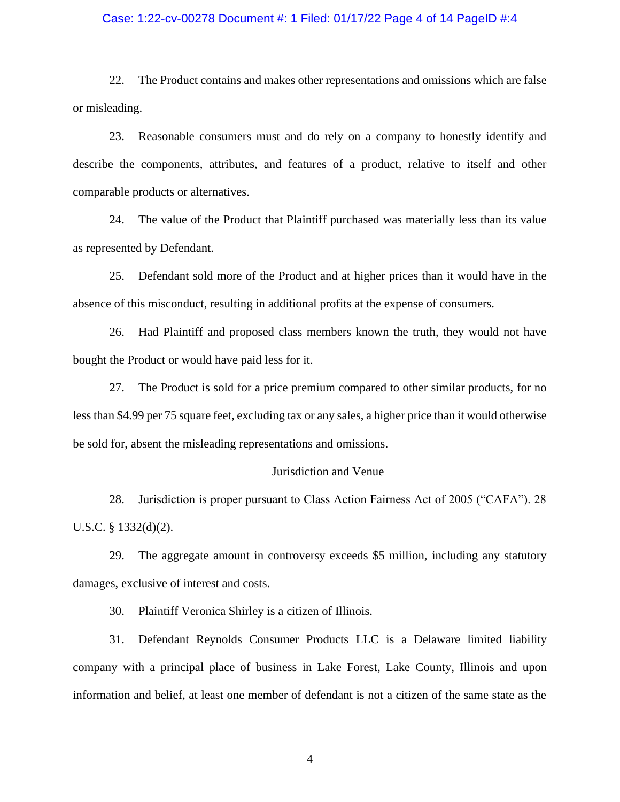#### Case: 1:22-cv-00278 Document #: 1 Filed: 01/17/22 Page 4 of 14 PageID #:4

22. The Product contains and makes other representations and omissions which are false or misleading.

23. Reasonable consumers must and do rely on a company to honestly identify and describe the components, attributes, and features of a product, relative to itself and other comparable products or alternatives.

24. The value of the Product that Plaintiff purchased was materially less than its value as represented by Defendant.

25. Defendant sold more of the Product and at higher prices than it would have in the absence of this misconduct, resulting in additional profits at the expense of consumers.

26. Had Plaintiff and proposed class members known the truth, they would not have bought the Product or would have paid less for it.

27. The Product is sold for a price premium compared to other similar products, for no less than \$4.99 per 75 square feet, excluding tax or any sales, a higher price than it would otherwise be sold for, absent the misleading representations and omissions.

## Jurisdiction and Venue

28. Jurisdiction is proper pursuant to Class Action Fairness Act of 2005 ("CAFA"). 28 U.S.C. § 1332(d)(2).

29. The aggregate amount in controversy exceeds \$5 million, including any statutory damages, exclusive of interest and costs.

30. Plaintiff Veronica Shirley is a citizen of Illinois.

31. Defendant Reynolds Consumer Products LLC is a Delaware limited liability company with a principal place of business in Lake Forest, Lake County, Illinois and upon information and belief, at least one member of defendant is not a citizen of the same state as the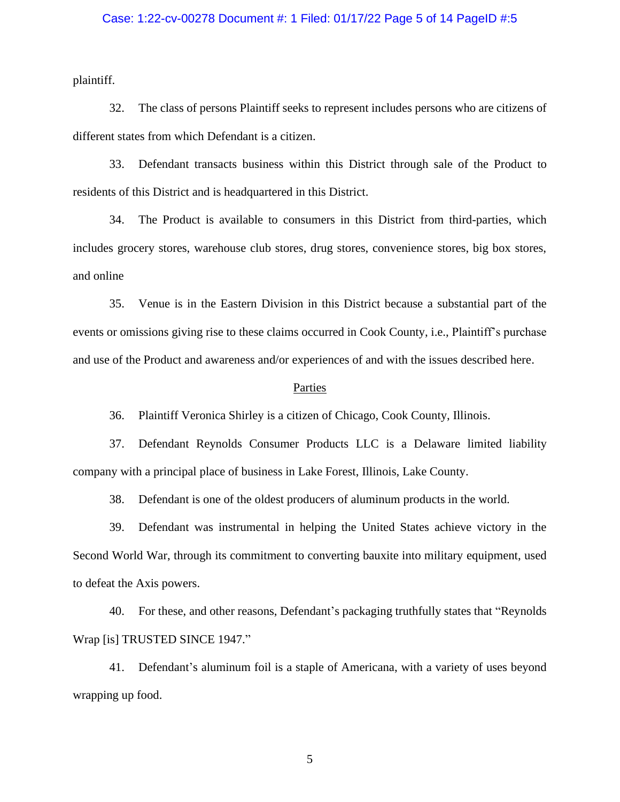#### Case: 1:22-cv-00278 Document #: 1 Filed: 01/17/22 Page 5 of 14 PageID #:5

plaintiff.

32. The class of persons Plaintiff seeks to represent includes persons who are citizens of different states from which Defendant is a citizen.

33. Defendant transacts business within this District through sale of the Product to residents of this District and is headquartered in this District.

34. The Product is available to consumers in this District from third-parties, which includes grocery stores, warehouse club stores, drug stores, convenience stores, big box stores, and online

35. Venue is in the Eastern Division in this District because a substantial part of the events or omissions giving rise to these claims occurred in Cook County, i.e., Plaintiff's purchase and use of the Product and awareness and/or experiences of and with the issues described here.

#### **Parties**

36. Plaintiff Veronica Shirley is a citizen of Chicago, Cook County, Illinois.

37. Defendant Reynolds Consumer Products LLC is a Delaware limited liability company with a principal place of business in Lake Forest, Illinois, Lake County.

38. Defendant is one of the oldest producers of aluminum products in the world.

39. Defendant was instrumental in helping the United States achieve victory in the Second World War, through its commitment to converting bauxite into military equipment, used to defeat the Axis powers.

40. For these, and other reasons, Defendant's packaging truthfully states that "Reynolds Wrap [is] TRUSTED SINCE 1947."

41. Defendant's aluminum foil is a staple of Americana, with a variety of uses beyond wrapping up food.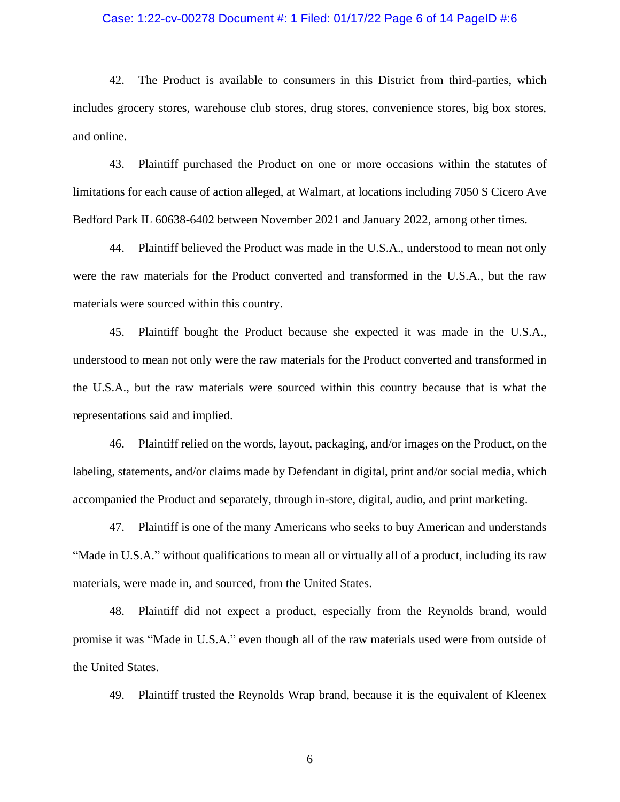#### Case: 1:22-cv-00278 Document #: 1 Filed: 01/17/22 Page 6 of 14 PageID #:6

42. The Product is available to consumers in this District from third-parties, which includes grocery stores, warehouse club stores, drug stores, convenience stores, big box stores, and online.

43. Plaintiff purchased the Product on one or more occasions within the statutes of limitations for each cause of action alleged, at Walmart, at locations including 7050 S Cicero Ave Bedford Park IL 60638-6402 between November 2021 and January 2022, among other times.

44. Plaintiff believed the Product was made in the U.S.A., understood to mean not only were the raw materials for the Product converted and transformed in the U.S.A., but the raw materials were sourced within this country.

45. Plaintiff bought the Product because she expected it was made in the U.S.A., understood to mean not only were the raw materials for the Product converted and transformed in the U.S.A., but the raw materials were sourced within this country because that is what the representations said and implied.

46. Plaintiff relied on the words, layout, packaging, and/or images on the Product, on the labeling, statements, and/or claims made by Defendant in digital, print and/or social media, which accompanied the Product and separately, through in-store, digital, audio, and print marketing.

47. Plaintiff is one of the many Americans who seeks to buy American and understands "Made in U.S.A." without qualifications to mean all or virtually all of a product, including its raw materials, were made in, and sourced, from the United States.

48. Plaintiff did not expect a product, especially from the Reynolds brand, would promise it was "Made in U.S.A." even though all of the raw materials used were from outside of the United States.

49. Plaintiff trusted the Reynolds Wrap brand, because it is the equivalent of Kleenex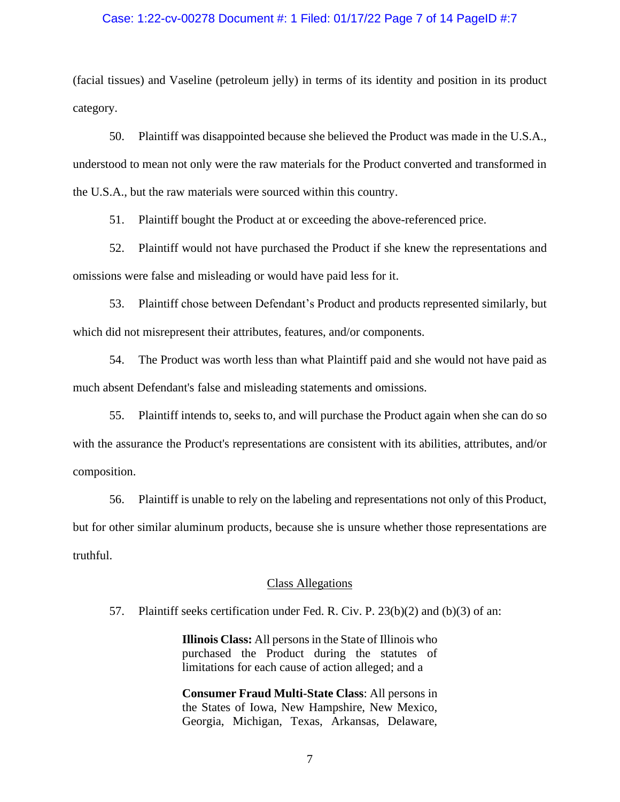#### Case: 1:22-cv-00278 Document #: 1 Filed: 01/17/22 Page 7 of 14 PageID #:7

(facial tissues) and Vaseline (petroleum jelly) in terms of its identity and position in its product category.

50. Plaintiff was disappointed because she believed the Product was made in the U.S.A., understood to mean not only were the raw materials for the Product converted and transformed in the U.S.A., but the raw materials were sourced within this country.

51. Plaintiff bought the Product at or exceeding the above-referenced price.

52. Plaintiff would not have purchased the Product if she knew the representations and omissions were false and misleading or would have paid less for it.

53. Plaintiff chose between Defendant's Product and products represented similarly, but which did not misrepresent their attributes, features, and/or components.

54. The Product was worth less than what Plaintiff paid and she would not have paid as much absent Defendant's false and misleading statements and omissions.

55. Plaintiff intends to, seeks to, and will purchase the Product again when she can do so with the assurance the Product's representations are consistent with its abilities, attributes, and/or composition.

56. Plaintiff is unable to rely on the labeling and representations not only of this Product, but for other similar aluminum products, because she is unsure whether those representations are truthful.

#### Class Allegations

57. Plaintiff seeks certification under Fed. R. Civ. P. 23(b)(2) and (b)(3) of an:

**Illinois Class:** All persons in the State of Illinois who purchased the Product during the statutes of limitations for each cause of action alleged; and a

**Consumer Fraud Multi-State Class**: All persons in the States of Iowa, New Hampshire, New Mexico, Georgia, Michigan, Texas, Arkansas, Delaware,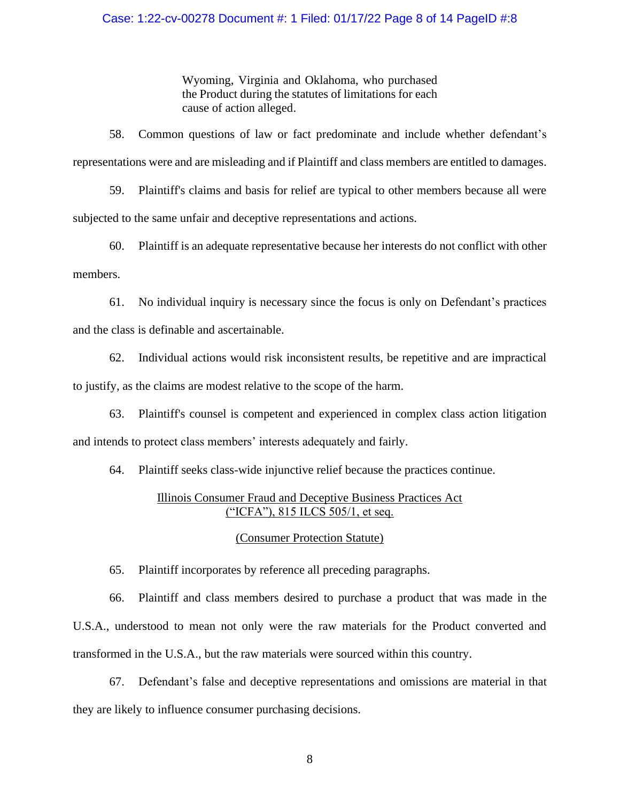### Case: 1:22-cv-00278 Document #: 1 Filed: 01/17/22 Page 8 of 14 PageID #:8

Wyoming, Virginia and Oklahoma, who purchased the Product during the statutes of limitations for each cause of action alleged.

58. Common questions of law or fact predominate and include whether defendant's representations were and are misleading and if Plaintiff and class members are entitled to damages.

59. Plaintiff's claims and basis for relief are typical to other members because all were subjected to the same unfair and deceptive representations and actions.

60. Plaintiff is an adequate representative because her interests do not conflict with other members.

61. No individual inquiry is necessary since the focus is only on Defendant's practices and the class is definable and ascertainable.

62. Individual actions would risk inconsistent results, be repetitive and are impractical to justify, as the claims are modest relative to the scope of the harm.

63. Plaintiff's counsel is competent and experienced in complex class action litigation and intends to protect class members' interests adequately and fairly.

64. Plaintiff seeks class-wide injunctive relief because the practices continue.

## Illinois Consumer Fraud and Deceptive Business Practices Act ("ICFA"), 815 ILCS 505/1, et seq.

## (Consumer Protection Statute)

65. Plaintiff incorporates by reference all preceding paragraphs.

66. Plaintiff and class members desired to purchase a product that was made in the U.S.A., understood to mean not only were the raw materials for the Product converted and transformed in the U.S.A., but the raw materials were sourced within this country.

67. Defendant's false and deceptive representations and omissions are material in that they are likely to influence consumer purchasing decisions.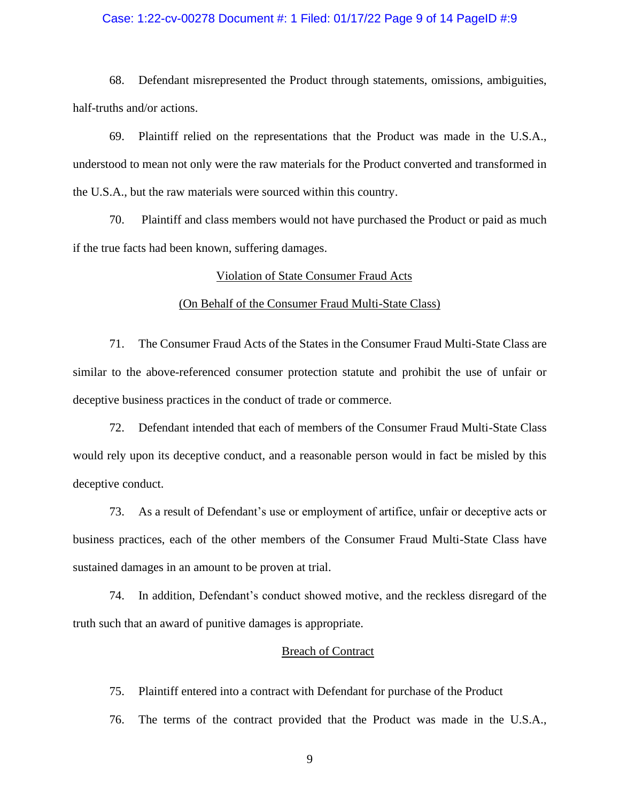#### Case: 1:22-cv-00278 Document #: 1 Filed: 01/17/22 Page 9 of 14 PageID #:9

68. Defendant misrepresented the Product through statements, omissions, ambiguities, half-truths and/or actions.

69. Plaintiff relied on the representations that the Product was made in the U.S.A., understood to mean not only were the raw materials for the Product converted and transformed in the U.S.A., but the raw materials were sourced within this country.

70. Plaintiff and class members would not have purchased the Product or paid as much if the true facts had been known, suffering damages.

#### Violation of State Consumer Fraud Acts

#### (On Behalf of the Consumer Fraud Multi-State Class)

71. The Consumer Fraud Acts of the States in the Consumer Fraud Multi-State Class are similar to the above-referenced consumer protection statute and prohibit the use of unfair or deceptive business practices in the conduct of trade or commerce.

72. Defendant intended that each of members of the Consumer Fraud Multi-State Class would rely upon its deceptive conduct, and a reasonable person would in fact be misled by this deceptive conduct.

73. As a result of Defendant's use or employment of artifice, unfair or deceptive acts or business practices, each of the other members of the Consumer Fraud Multi-State Class have sustained damages in an amount to be proven at trial.

74. In addition, Defendant's conduct showed motive, and the reckless disregard of the truth such that an award of punitive damages is appropriate.

#### Breach of Contract

75. Plaintiff entered into a contract with Defendant for purchase of the Product

76. The terms of the contract provided that the Product was made in the U.S.A.,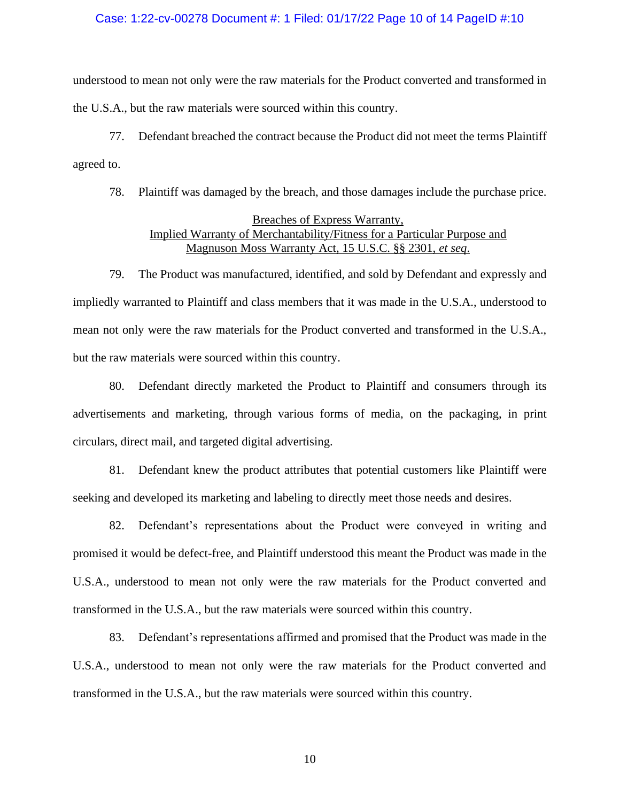#### Case: 1:22-cv-00278 Document #: 1 Filed: 01/17/22 Page 10 of 14 PageID #:10

understood to mean not only were the raw materials for the Product converted and transformed in the U.S.A., but the raw materials were sourced within this country.

77. Defendant breached the contract because the Product did not meet the terms Plaintiff agreed to.

78. Plaintiff was damaged by the breach, and those damages include the purchase price.

## Breaches of Express Warranty, Implied Warranty of Merchantability/Fitness for a Particular Purpose and Magnuson Moss Warranty Act, 15 U.S.C. §§ 2301, *et seq*.

79. The Product was manufactured, identified, and sold by Defendant and expressly and impliedly warranted to Plaintiff and class members that it was made in the U.S.A., understood to mean not only were the raw materials for the Product converted and transformed in the U.S.A., but the raw materials were sourced within this country.

80. Defendant directly marketed the Product to Plaintiff and consumers through its advertisements and marketing, through various forms of media, on the packaging, in print circulars, direct mail, and targeted digital advertising.

81. Defendant knew the product attributes that potential customers like Plaintiff were seeking and developed its marketing and labeling to directly meet those needs and desires.

82. Defendant's representations about the Product were conveyed in writing and promised it would be defect-free, and Plaintiff understood this meant the Product was made in the U.S.A., understood to mean not only were the raw materials for the Product converted and transformed in the U.S.A., but the raw materials were sourced within this country.

83. Defendant's representations affirmed and promised that the Product was made in the U.S.A., understood to mean not only were the raw materials for the Product converted and transformed in the U.S.A., but the raw materials were sourced within this country.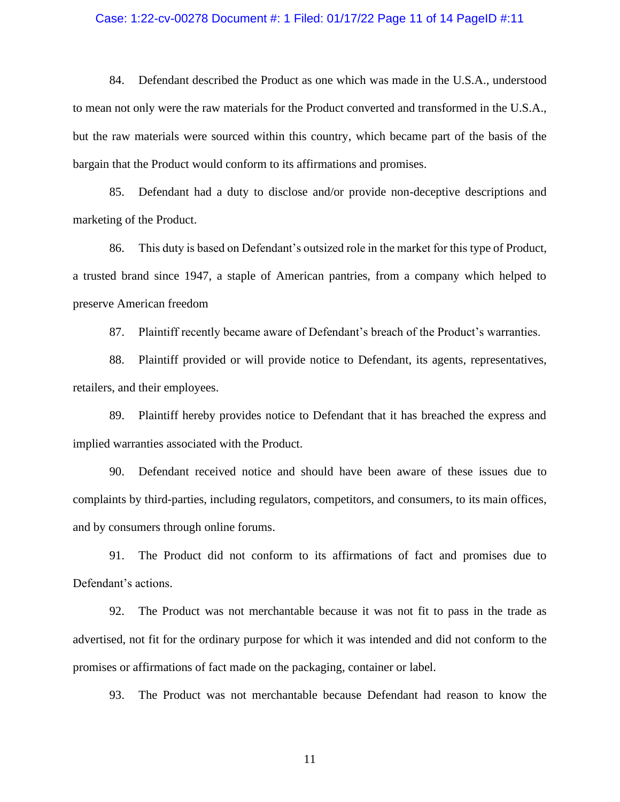#### Case: 1:22-cv-00278 Document #: 1 Filed: 01/17/22 Page 11 of 14 PageID #:11

84. Defendant described the Product as one which was made in the U.S.A., understood to mean not only were the raw materials for the Product converted and transformed in the U.S.A., but the raw materials were sourced within this country, which became part of the basis of the bargain that the Product would conform to its affirmations and promises.

85. Defendant had a duty to disclose and/or provide non-deceptive descriptions and marketing of the Product.

86. This duty is based on Defendant's outsized role in the market for this type of Product, a trusted brand since 1947, a staple of American pantries, from a company which helped to preserve American freedom

87. Plaintiff recently became aware of Defendant's breach of the Product's warranties.

88. Plaintiff provided or will provide notice to Defendant, its agents, representatives, retailers, and their employees.

89. Plaintiff hereby provides notice to Defendant that it has breached the express and implied warranties associated with the Product.

90. Defendant received notice and should have been aware of these issues due to complaints by third-parties, including regulators, competitors, and consumers, to its main offices, and by consumers through online forums.

91. The Product did not conform to its affirmations of fact and promises due to Defendant's actions.

92. The Product was not merchantable because it was not fit to pass in the trade as advertised, not fit for the ordinary purpose for which it was intended and did not conform to the promises or affirmations of fact made on the packaging, container or label.

93. The Product was not merchantable because Defendant had reason to know the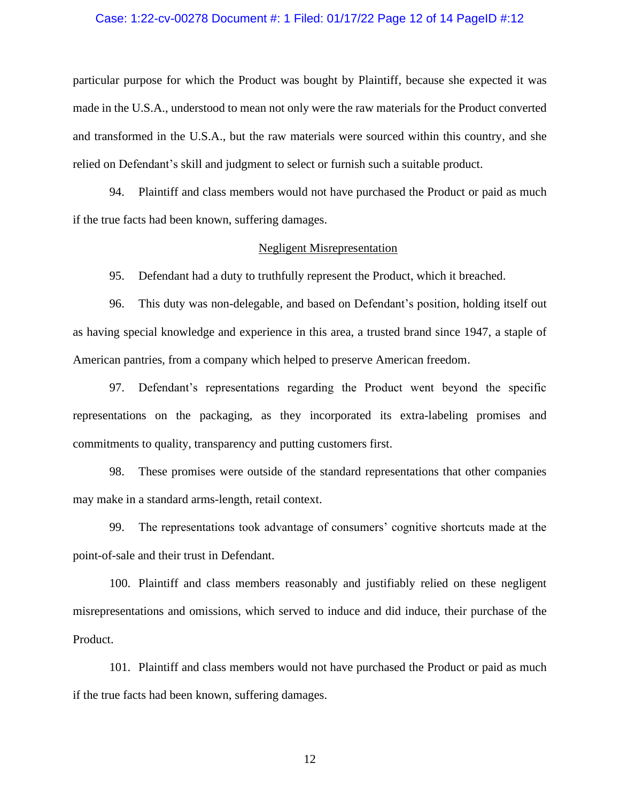#### Case: 1:22-cv-00278 Document #: 1 Filed: 01/17/22 Page 12 of 14 PageID #:12

particular purpose for which the Product was bought by Plaintiff, because she expected it was made in the U.S.A., understood to mean not only were the raw materials for the Product converted and transformed in the U.S.A., but the raw materials were sourced within this country, and she relied on Defendant's skill and judgment to select or furnish such a suitable product.

94. Plaintiff and class members would not have purchased the Product or paid as much if the true facts had been known, suffering damages.

#### Negligent Misrepresentation

95. Defendant had a duty to truthfully represent the Product, which it breached.

96. This duty was non-delegable, and based on Defendant's position, holding itself out as having special knowledge and experience in this area, a trusted brand since 1947, a staple of American pantries, from a company which helped to preserve American freedom.

97. Defendant's representations regarding the Product went beyond the specific representations on the packaging, as they incorporated its extra-labeling promises and commitments to quality, transparency and putting customers first.

98. These promises were outside of the standard representations that other companies may make in a standard arms-length, retail context.

99. The representations took advantage of consumers' cognitive shortcuts made at the point-of-sale and their trust in Defendant.

100. Plaintiff and class members reasonably and justifiably relied on these negligent misrepresentations and omissions, which served to induce and did induce, their purchase of the Product.

101. Plaintiff and class members would not have purchased the Product or paid as much if the true facts had been known, suffering damages.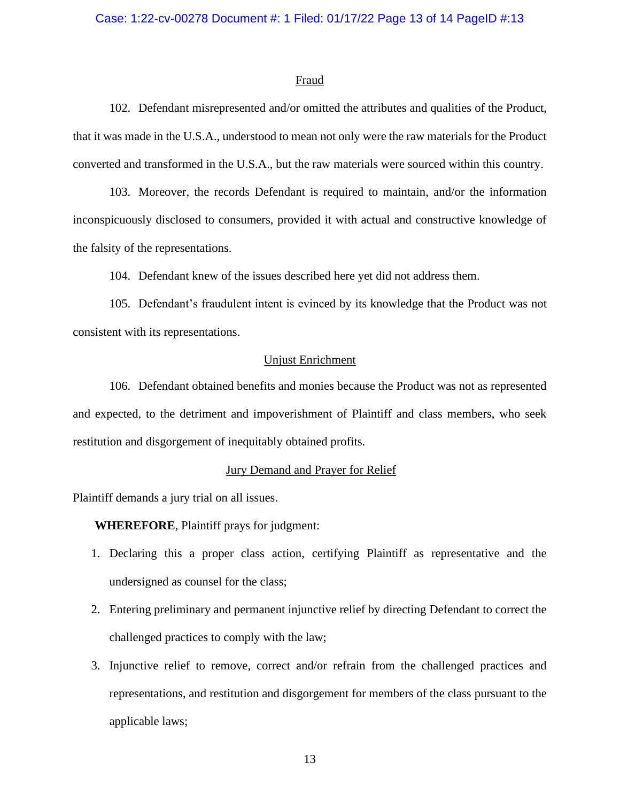#### Fraud

102. Defendant misrepresented and/or omitted the attributes and qualities of the Product, that it was made in the U.S.A., understood to mean not only were the raw materials for the Product converted and transformed in the U.S.A., but the raw materials were sourced within this country.

103. Moreover, the records Defendant is required to maintain, and/or the information inconspicuously disclosed to consumers, provided it with actual and constructive knowledge of the falsity of the representations.

104. Defendant knew of the issues described here yet did not address them.

105. Defendant's fraudulent intent is evinced by its knowledge that the Product was not consistent with its representations.

## Unjust Enrichment

106. Defendant obtained benefits and monies because the Product was not as represented and expected, to the detriment and impoverishment of Plaintiff and class members, who seek restitution and disgorgement of inequitably obtained profits.

### Jury Demand and Prayer for Relief

Plaintiff demands a jury trial on all issues.

**WHEREFORE**, Plaintiff prays for judgment:

- 1. Declaring this a proper class action, certifying Plaintiff as representative and the undersigned as counsel for the class;
- 2. Entering preliminary and permanent injunctive relief by directing Defendant to correct the challenged practices to comply with the law;
- 3. Injunctive relief to remove, correct and/or refrain from the challenged practices and representations, and restitution and disgorgement for members of the class pursuant to the applicable laws;